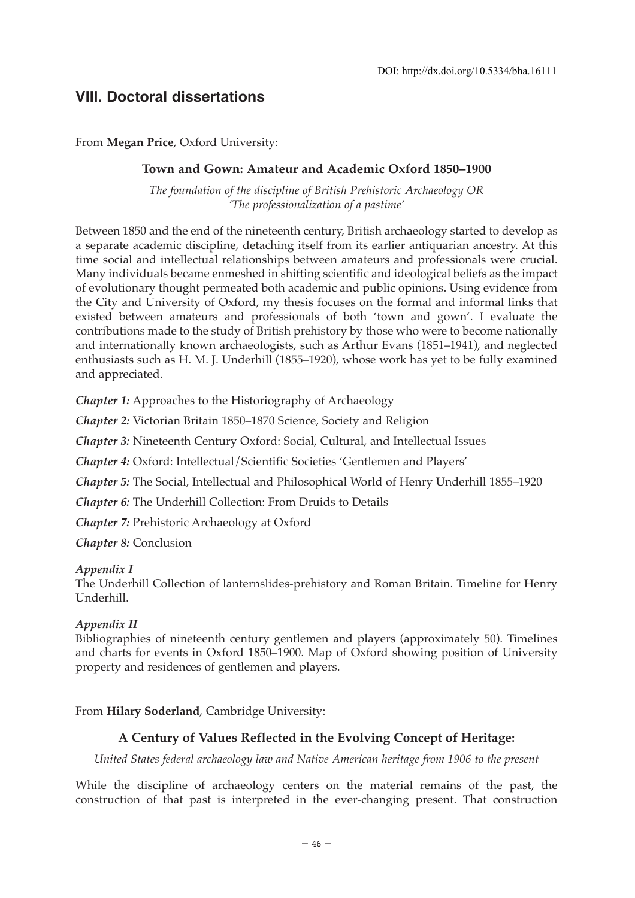# **VIII. Doctoral dissertations**

From **Megan Price**, Oxford University:

### **Town and Gown: Amateur and Academic Oxford 1850–1900**

*The foundation of the discipline of British Prehistoric Archaeology OR 'The professionalization of a pastime'*

Between 1850 and the end of the nineteenth century, British archaeology started to develop as a separate academic discipline, detaching itself from its earlier antiquarian ancestry. At this time social and intellectual relationships between amateurs and professionals were crucial. Many individuals became enmeshed in shifting scientific and ideological beliefs as the impact of evolutionary thought permeated both academic and public opinions. Using evidence from the City and University of Oxford, my thesis focuses on the formal and informal links that existed between amateurs and professionals of both 'town and gown'. I evaluate the contributions made to the study of British prehistory by those who were to become nationally and internationally known archaeologists, such as Arthur Evans (1851–1941), and neglected enthusiasts such as H. M. J. Underhill (1855–1920), whose work has yet to be fully examined and appreciated.

*Chapter 1:* Approaches to the Historiography of Archaeology

*Chapter 2:* Victorian Britain 1850–1870 Science, Society and Religion

*Chapter 3:* Nineteenth Century Oxford: Social, Cultural, and Intellectual Issues

*Chapter 4:* Oxford: Intellectual/Scientific Societies 'Gentlemen and Players'

*Chapter 5:* The Social, Intellectual and Philosophical World of Henry Underhill 1855–1920

*Chapter 6:* The Underhill Collection: From Druids to Details

*Chapter 7:* Prehistoric Archaeology at Oxford

*Chapter 8:* Conclusion

### *Appendix I*

The Underhill Collection of lanternslides-prehistory and Roman Britain. Timeline for Henry Underhill.

### *Appendix II*

Bibliographies of nineteenth century gentlemen and players (approximately 50). Timelines and charts for events in Oxford 1850–1900. Map of Oxford showing position of University property and residences of gentlemen and players.

From **Hilary Soderland**, Cambridge University:

## **A Century of Values Reflected in the Evolving Concept of Heritage:**

*United States federal archaeology law and Native American heritage from 1906 to the present*

While the discipline of archaeology centers on the material remains of the past, the construction of that past is interpreted in the ever-changing present. That construction